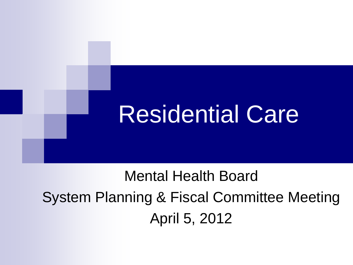

## Mental Health Board System Planning & Fiscal Committee Meeting April 5, 2012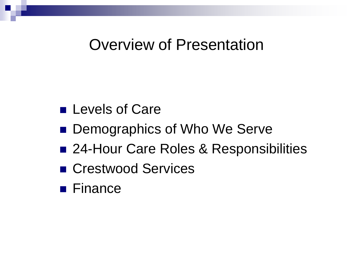#### Overview of Presentation

- **Levels of Care**
- Demographics of Who We Serve
- 24-Hour Care Roles & Responsibilities
- Crestwood Services
- **Finance**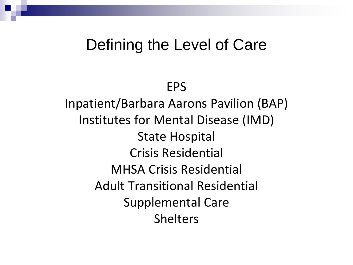#### Defining the Level of Care

EPS

Inpatient/Barbara Aarons Pavilion (BAP) Institutes for Mental Disease (IMD) State Hospital Crisis Residential MHSA Crisis Residential Adult Transitional Residential Supplemental Care Shelters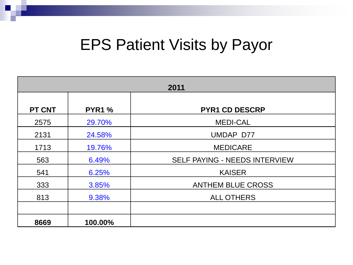#### EPS Patient Visits by Payor

| 2011          |               |                               |  |  |
|---------------|---------------|-------------------------------|--|--|
| <b>PT CNT</b> | <b>PYR1 %</b> | <b>PYR1 CD DESCRP</b>         |  |  |
| 2575          | 29.70%        | <b>MEDI-CAL</b>               |  |  |
| 2131          | 24.58%        | UMDAP D77                     |  |  |
| 1713          | 19.76%        | <b>MEDICARE</b>               |  |  |
| 563           | 6.49%         | SELF PAYING - NEEDS INTERVIEW |  |  |
| 541           | 6.25%         | <b>KAISER</b>                 |  |  |
| 333           | 3.85%         | <b>ANTHEM BLUE CROSS</b>      |  |  |
| 813           | 9.38%         | <b>ALL OTHERS</b>             |  |  |
|               |               |                               |  |  |
| 8669          | 100.00%       |                               |  |  |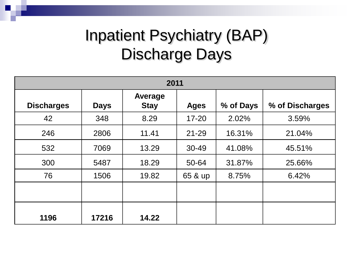## Inpatient Psychiatry (BAP) Discharge Days

| 2011              |             |                        |             |           |                 |  |
|-------------------|-------------|------------------------|-------------|-----------|-----------------|--|
| <b>Discharges</b> | <b>Days</b> | Average<br><b>Stay</b> | <b>Ages</b> | % of Days | % of Discharges |  |
| 42                | 348         | 8.29                   | $17 - 20$   | 2.02%     | 3.59%           |  |
| 246               | 2806        | 11.41                  | $21 - 29$   | 16.31%    | 21.04%          |  |
| 532               | 7069        | 13.29                  | 30-49       | 41.08%    | 45.51%          |  |
| 300               | 5487        | 18.29                  | 50-64       | 31.87%    | 25.66%          |  |
| 76                | 1506        | 19.82                  | 65 & up     | 8.75%     | 6.42%           |  |
|                   |             |                        |             |           |                 |  |
| 1196              | 17216       | 14.22                  |             |           |                 |  |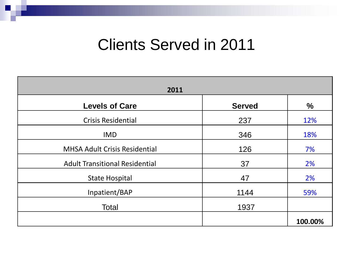#### Clients Served in 2011

| 2011                                  |               |               |  |  |  |  |
|---------------------------------------|---------------|---------------|--|--|--|--|
| <b>Levels of Care</b>                 | <b>Served</b> | $\frac{0}{0}$ |  |  |  |  |
| <b>Crisis Residential</b>             | 237           | 12%           |  |  |  |  |
| <b>IMD</b>                            | 346           | 18%           |  |  |  |  |
| <b>MHSA Adult Crisis Residential</b>  | 126           | 7%            |  |  |  |  |
| <b>Adult Transitional Residential</b> | 37            | 2%            |  |  |  |  |
| <b>State Hospital</b>                 | 47            | 2%            |  |  |  |  |
| Inpatient/BAP                         | 1144          | 59%           |  |  |  |  |
| Total                                 | 1937          |               |  |  |  |  |
|                                       |               | 100.00%       |  |  |  |  |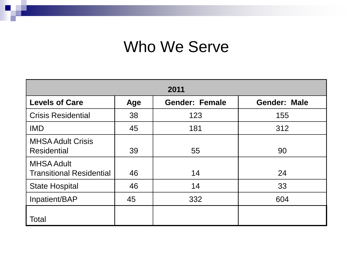#### Who We Serve

| 2011                                                 |     |                       |                     |  |  |  |
|------------------------------------------------------|-----|-----------------------|---------------------|--|--|--|
| <b>Levels of Care</b>                                | Age | <b>Gender: Female</b> | <b>Gender: Male</b> |  |  |  |
| <b>Crisis Residential</b>                            | 38  | 123                   | 155                 |  |  |  |
| <b>IMD</b>                                           | 45  | 181                   | 312                 |  |  |  |
| <b>MHSA Adult Crisis</b><br><b>Residential</b>       | 39  | 55                    | 90                  |  |  |  |
| <b>MHSA Adult</b><br><b>Transitional Residential</b> | 46  | 14                    | 24                  |  |  |  |
| <b>State Hospital</b>                                | 46  | 14                    | 33                  |  |  |  |
| Inpatient/BAP                                        | 45  | 332                   | 604                 |  |  |  |
| Total                                                |     |                       |                     |  |  |  |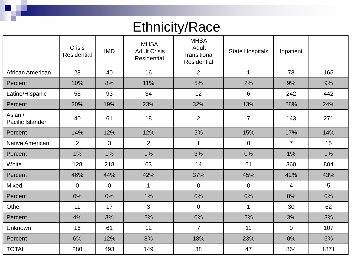#### Ethnicity/Race

|                             | <b>Crisis</b><br><b>Residential</b> | <b>IMD</b>  | <b>MHSA</b><br><b>Adult Crisis</b><br><b>Residential</b> | <b>MHSA</b><br>Adult<br>Transitional<br>Residential | <b>State Hospitals</b> | Inpatient        |      |
|-----------------------------|-------------------------------------|-------------|----------------------------------------------------------|-----------------------------------------------------|------------------------|------------------|------|
| African American            | 28                                  | 40          | 16                                                       | $\overline{2}$                                      | $\mathbf{1}$           | 78               | 165  |
| Percent                     | 10%                                 | 8%          | 11%                                                      | 5%                                                  | 2%                     | 9%               | 9%   |
| Latino/Hispanic             | 55                                  | 93          | 34                                                       | 12                                                  | $6\phantom{1}$         | 242              | 442  |
| Percent                     | 20%                                 | 19%         | 23%                                                      | 32%                                                 | 13%                    | 28%              | 24%  |
| Asian /<br>Pacific Islander | 40                                  | 61          | 18                                                       | $\overline{2}$                                      | $\overline{7}$         | 143              | 271  |
| Percent                     | 14%                                 | 12%         | 12%                                                      | 5%                                                  | 15%                    | 17%              | 14%  |
| <b>Native American</b>      | $\overline{2}$                      | 3           | $\overline{2}$                                           | $\mathbf{1}$                                        | $\mathbf 0$            | $\overline{7}$   | 15   |
| Percent                     | 1%                                  | 1%          | 1%                                                       | 3%                                                  | 0%                     | 1%               | 1%   |
| White                       | 128                                 | 218         | 63                                                       | 14                                                  | 21                     | 360              | 804  |
| Percent                     | 46%                                 | 44%         | 42%                                                      | 37%                                                 | 45%                    | 42%              | 43%  |
| Mixed                       | 0                                   | $\mathbf 0$ | 1                                                        | $\mathbf 0$                                         | $\mathbf 0$            | 4                | 5    |
| Percent                     | 0%                                  | 0%          | 1%                                                       | $0\%$                                               | 0%                     | 0%               | 0%   |
| Other                       | 11                                  | 17          | 3                                                        | $\mathbf 0$                                         | $\mathbf 1$            | 30               | 62   |
| Percent                     | 4%                                  | 3%          | 2%                                                       | 0%                                                  | 2%                     | 3%               | 3%   |
| Unknown                     | 16                                  | 61          | 12                                                       | $\overline{7}$                                      | 11                     | $\boldsymbol{0}$ | 107  |
| Percent                     | 6%                                  | 12%         | 8%                                                       | 18%                                                 | 23%                    | 0%               | 6%   |
| <b>TOTAL</b>                | 280                                 | 493         | 149                                                      | 38                                                  | 47                     | 864              | 1871 |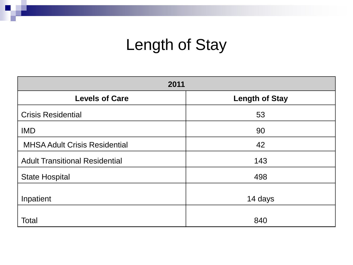## Length of Stay

| 2011                                  |                       |  |  |  |  |
|---------------------------------------|-----------------------|--|--|--|--|
| <b>Levels of Care</b>                 | <b>Length of Stay</b> |  |  |  |  |
| <b>Crisis Residential</b>             | 53                    |  |  |  |  |
| <b>IMD</b>                            | 90                    |  |  |  |  |
| <b>MHSA Adult Crisis Residential</b>  | 42                    |  |  |  |  |
| <b>Adult Transitional Residential</b> | 143                   |  |  |  |  |
| <b>State Hospital</b>                 | 498                   |  |  |  |  |
| Inpatient                             | 14 days               |  |  |  |  |
| Total                                 | 840                   |  |  |  |  |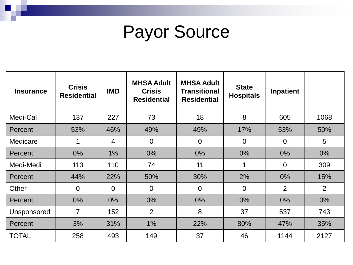# Payor Source

| <b>Insurance</b> | <b>Crisis</b><br><b>Residential</b> | <b>IMD</b>     | <b>MHSA Adult</b><br><b>Crisis</b><br><b>Residential</b> | <b>MHSA Adult</b><br><b>Transitional</b><br><b>Residential</b> | <b>State</b><br><b>Hospitals</b> | Inpatient      |                |
|------------------|-------------------------------------|----------------|----------------------------------------------------------|----------------------------------------------------------------|----------------------------------|----------------|----------------|
| Medi-Cal         | 137                                 | 227            | 73                                                       | 18                                                             | 8                                | 605            | 1068           |
| Percent          | 53%                                 | 46%            | 49%                                                      | 49%                                                            | 17%                              | 53%            | 50%            |
| Medicare         | 1                                   | $\overline{4}$ | $\overline{0}$                                           | $\overline{0}$                                                 | $\overline{0}$                   | $\overline{0}$ | 5              |
| Percent          | $0\%$                               | $1\%$          | $0\%$                                                    | $0\%$                                                          | $0\%$                            | $0\%$          | $0\%$          |
| Medi-Medi        | 113                                 | 110            | 74                                                       | 11                                                             | 1                                | $\overline{0}$ | 309            |
| Percent          | 44%                                 | 22%            | 50%                                                      | 30%                                                            | 2%                               | $0\%$          | 15%            |
| Other            | $\overline{0}$                      | $\overline{0}$ | $\overline{0}$                                           | $\overline{0}$                                                 | $\mathbf 0$                      | $\overline{2}$ | $\overline{2}$ |
| Percent          | $0\%$                               | $0\%$          | $0\%$                                                    | $0\%$                                                          | $0\%$                            | $0\%$          | $0\%$          |
| Unsponsored      | $\overline{7}$                      | 152            | 2                                                        | 8                                                              | 37                               | 537            | 743            |
| Percent          | 3%                                  | 31%            | 1%                                                       | 22%                                                            | 80%                              | 47%            | 35%            |
| <b>TOTAL</b>     | 258                                 | 493            | 149                                                      | 37                                                             | 46                               | 1144           | 2127           |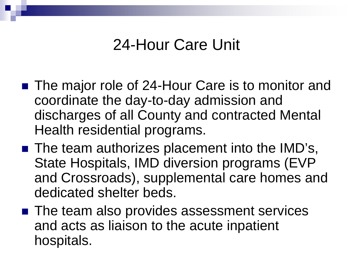#### 24-Hour Care Unit

- The major role of 24-Hour Care is to monitor and coordinate the day-to-day admission and discharges of all County and contracted Mental Health residential programs.
- The team authorizes placement into the IMD's, State Hospitals, IMD diversion programs (EVP and Crossroads), supplemental care homes and dedicated shelter beds.
- The team also provides assessment services and acts as liaison to the acute inpatient hospitals.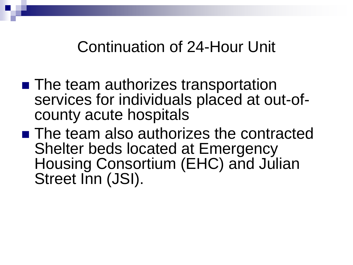Continuation of 24-Hour Unit

- The team authorizes transportation services for individuals placed at out-of- county acute hospitals
- The team also authorizes the contracted Shelter beds located at Emergency Housing Consortium (EHC) and Julian Street Inn (JSI).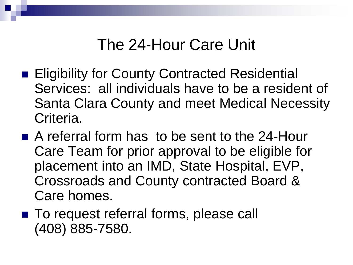#### The 24-Hour Care Unit

- Eligibility for County Contracted Residential Services: all individuals have to be a resident of Santa Clara County and meet Medical Necessity Criteria.
- A referral form has to be sent to the 24-Hour Care Team for prior approval to be eligible for placement into an IMD, State Hospital, EVP, Crossroads and County contracted Board & Care homes.
- To request referral forms, please call (408) 885-7580.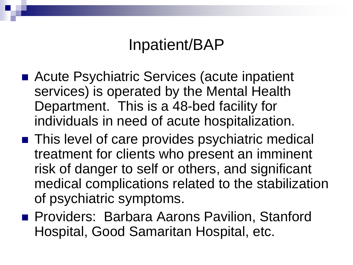#### Inpatient/BAP

- Acute Psychiatric Services (acute inpatient services) is operated by the Mental Health Department. This is a 48-bed facility for individuals in need of acute hospitalization.
- This level of care provides psychiatric medical treatment for clients who present an imminent risk of danger to self or others, and significant medical complications related to the stabilization of psychiatric symptoms.
- **Providers: Barbara Aarons Pavilion, Stanford** Hospital, Good Samaritan Hospital, etc.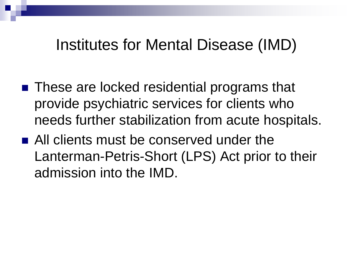#### Institutes for Mental Disease (IMD)

- These are locked residential programs that provide psychiatric services for clients who needs further stabilization from acute hospitals.
- All clients must be conserved under the Lanterman-Petris-Short (LPS) Act prior to their admission into the IMD.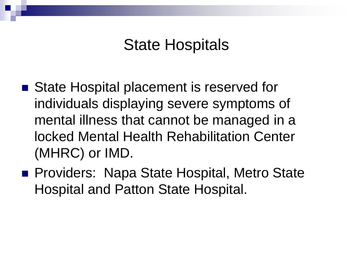#### State Hospitals

- State Hospital placement is reserved for individuals displaying severe symptoms of mental illness that cannot be managed in a locked Mental Health Rehabilitation Center (MHRC) or IMD.
- **Providers: Napa State Hospital, Metro State** Hospital and Patton State Hospital.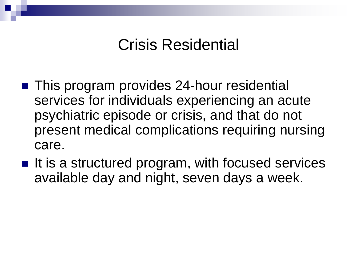#### Crisis Residential

- **This program provides 24-hour residential** services for individuals experiencing an acute psychiatric episode or crisis, and that do not present medical complications requiring nursing care.
- $\blacksquare$  It is a structured program, with focused services available day and night, seven days a week.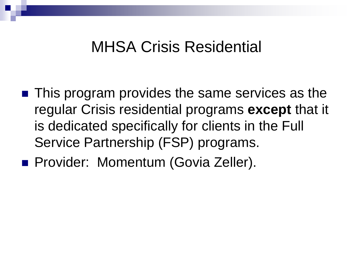#### MHSA Crisis Residential

■ This program provides the same services as the regular Crisis residential programs **except** that it is dedicated specifically for clients in the Full Service Partnership (FSP) programs.

**Provider: Momentum (Govia Zeller).**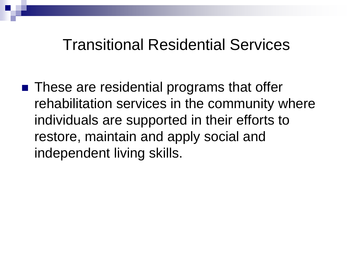#### Transitional Residential Services

■ These are residential programs that offer rehabilitation services in the community where individuals are supported in their efforts to restore, maintain and apply social and independent living skills.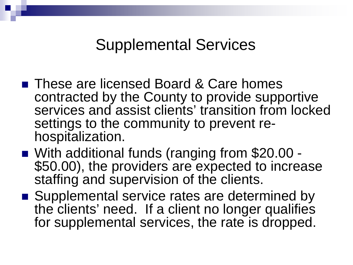#### Supplemental Services

- These are licensed Board & Care homes contracted by the County to provide supportive services and assist clients' transition from locked settings to the community to prevent re-<br>hospitalization.
- With additional funds (ranging from \$20.00 -<br>\$50.00), the providers are expected to increase staffing and supervision of the clients.
- Supplemental service rates are determined by the clients' need. If a client no longer qualifies for supplemental services, the rate is dropped.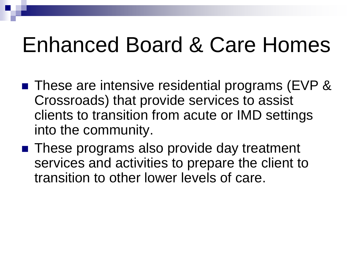# Enhanced Board & Care Homes

- These are intensive residential programs (EVP & Crossroads) that provide services to assist clients to transition from acute or IMD settings into the community.
- These programs also provide day treatment services and activities to prepare the client to transition to other lower levels of care.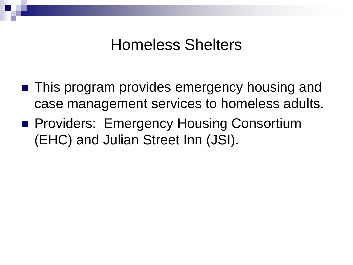#### Homeless Shelters

- This program provides emergency housing and case management services to homeless adults.
- **Providers: Emergency Housing Consortium** (EHC) and Julian Street Inn (JSI).